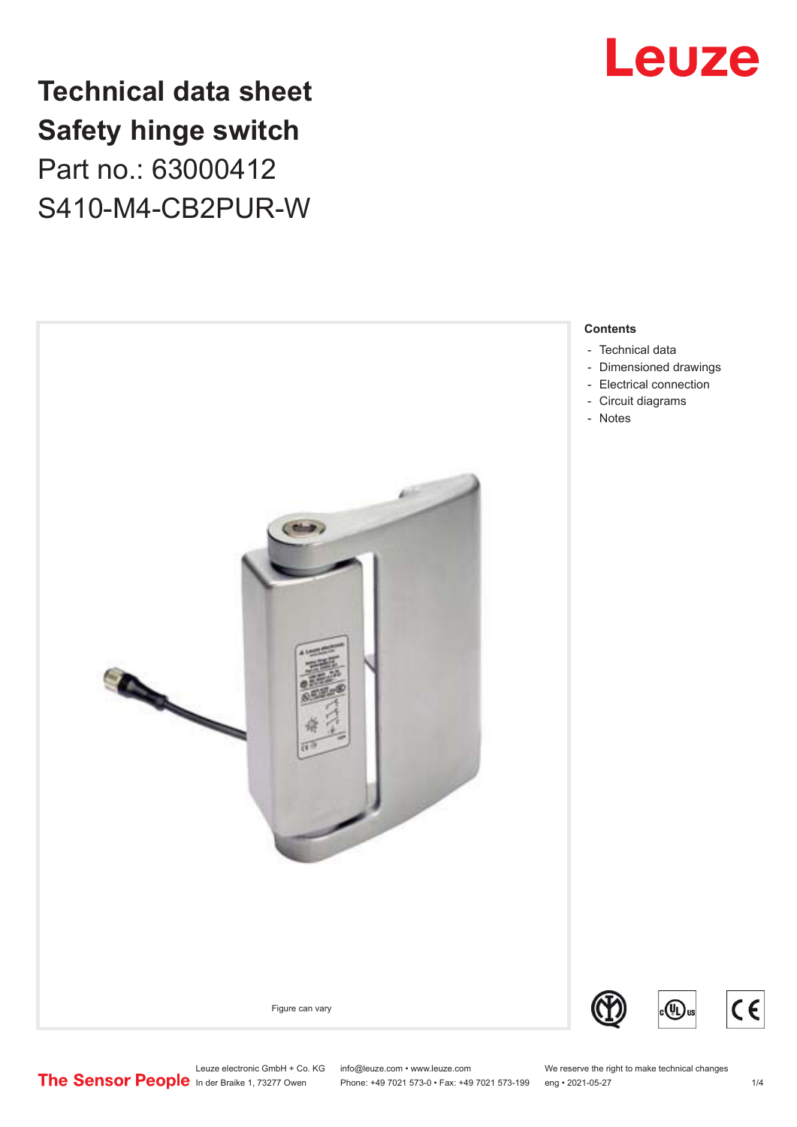

## **Technical data sheet Safety hinge switch** Part no.: 63000412 S410-M4-CB2PUR-W



**Contents**

- 
- [Dimensioned drawings](#page-2-0)
- [Electrical connection](#page-2-0)
- 

Leuze electronic GmbH + Co. KG info@leuze.com • www.leuze.com We reserve the right to make technical changes<br>
The Sensor People in der Braike 1, 73277 Owen Phone: +49 7021 573-0 • Fax: +49 7021 573-199 eng • 2021-05-27 Phone: +49 7021 573-0 • Fax: +49 7021 573-199 eng • 2021-05-27

 $C<sub>6</sub>$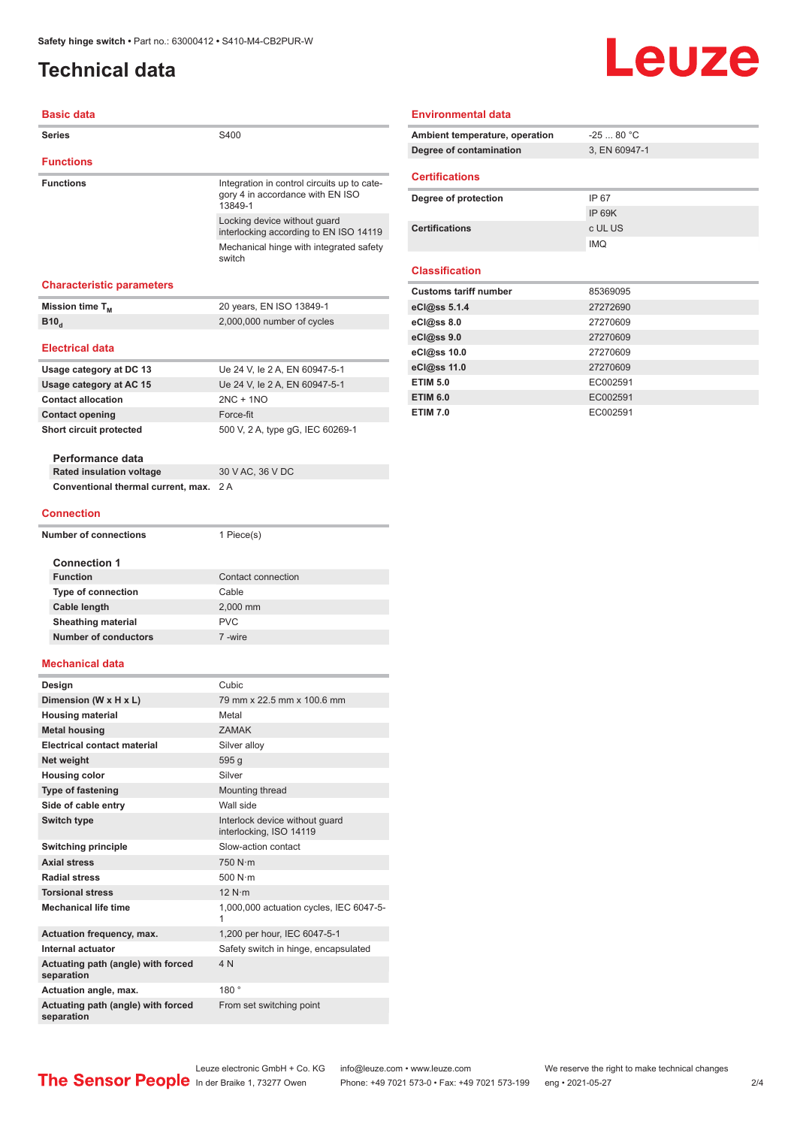### <span id="page-1-0"></span>**Technical data**

# **Leuze**

#### **Basic data**

| Series                                           | S400                                                                                       |  |
|--------------------------------------------------|--------------------------------------------------------------------------------------------|--|
| <b>Functions</b>                                 |                                                                                            |  |
| <b>Functions</b>                                 | Integration in control circuits up to cate-<br>gory 4 in accordance with EN ISO<br>13849-1 |  |
|                                                  | Locking device without guard<br>interlocking according to EN ISO 14119                     |  |
|                                                  | Mechanical hinge with integrated safety<br>switch                                          |  |
| <b>Characteristic parameters</b>                 |                                                                                            |  |
| Mission time T <sub>M</sub>                      | 20 years, EN ISO 13849-1                                                                   |  |
| B10 <sub>d</sub>                                 | 2,000,000 number of cycles                                                                 |  |
|                                                  |                                                                                            |  |
| <b>Electrical data</b>                           |                                                                                            |  |
| Usage category at DC 13                          | Ue 24 V, le 2 A, EN 60947-5-1                                                              |  |
| Usage category at AC 15                          | Ue 24 V, le 2 A, EN 60947-5-1                                                              |  |
| <b>Contact allocation</b>                        | $2NC + 1NO$                                                                                |  |
| <b>Contact opening</b>                           | Force-fit                                                                                  |  |
| Short circuit protected                          | 500 V, 2 A, type qG, IEC 60269-1                                                           |  |
| Performance data                                 |                                                                                            |  |
| <b>Rated insulation voltage</b>                  | 30 V AC, 36 V DC                                                                           |  |
| Conventional thermal current, max.               | 2 A                                                                                        |  |
| <b>Connection</b>                                |                                                                                            |  |
| <b>Number of connections</b>                     | 1 Piece(s)                                                                                 |  |
|                                                  |                                                                                            |  |
| <b>Connection 1</b>                              |                                                                                            |  |
| <b>Function</b>                                  | Contact connection                                                                         |  |
| <b>Type of connection</b>                        | Cable                                                                                      |  |
| Cable length                                     | 2,000 mm                                                                                   |  |
| <b>Sheathing material</b>                        | <b>PVC</b>                                                                                 |  |
| <b>Number of conductors</b>                      | 7-wire                                                                                     |  |
| <b>Mechanical data</b>                           |                                                                                            |  |
| Design                                           | Cubic.                                                                                     |  |
| Dimension (W x H x L)                            | 79 mm x 22.5 mm x 100.6 mm                                                                 |  |
| <b>Housing material</b>                          | Metal                                                                                      |  |
| <b>Metal housing</b>                             | <b>ZAMAK</b>                                                                               |  |
| <b>Electrical contact material</b>               | Silver alloy                                                                               |  |
| Net weight                                       | 595 g                                                                                      |  |
| <b>Housing color</b>                             | Silver                                                                                     |  |
| <b>Type of fastening</b>                         | Mounting thread                                                                            |  |
| Side of cable entry                              | Wall side                                                                                  |  |
| Switch type                                      | Interlock device without guard<br>interlocking, ISO 14119                                  |  |
| <b>Switching principle</b>                       | Slow-action contact                                                                        |  |
| <b>Axial stress</b>                              | 750 N·m                                                                                    |  |
| <b>Radial stress</b>                             | 500 $N \cdot m$                                                                            |  |
| <b>Torsional stress</b>                          | 12 N·m                                                                                     |  |
| <b>Mechanical life time</b>                      | 1,000,000 actuation cycles, IEC 6047-5-<br>1                                               |  |
| <b>Actuation frequency, max.</b>                 | 1,200 per hour, IEC 6047-5-1                                                               |  |
| Internal actuator                                | Safety switch in hinge, encapsulated                                                       |  |
| Actuating path (angle) with forced<br>separation | 4N                                                                                         |  |
| Actuation angle, max.                            | 180°                                                                                       |  |
| Actuating path (angle) with forced<br>separation | From set switching point                                                                   |  |

#### **Environmental data**

| Ambient temperature, operation | $-2580 °C$    |
|--------------------------------|---------------|
| Degree of contamination        | 3. EN 60947-1 |
| <b>Certifications</b>          |               |

| Degree of protection  | IP 67         |
|-----------------------|---------------|
|                       | <b>IP 69K</b> |
| <b>Certifications</b> | c UL US       |
|                       | <b>IMQ</b>    |

#### **Classification**

| <b>Customs tariff number</b> | 85369095 |
|------------------------------|----------|
| eCl@ss 5.1.4                 | 27272690 |
| eC <sub>1</sub> @ss 8.0      | 27270609 |
| eCl@ss 9.0                   | 27270609 |
| eCl@ss 10.0                  | 27270609 |
| eCl@ss 11.0                  | 27270609 |
| <b>ETIM 5.0</b>              | EC002591 |
| <b>ETIM 6.0</b>              | EC002591 |
| <b>ETIM 7.0</b>              | EC002591 |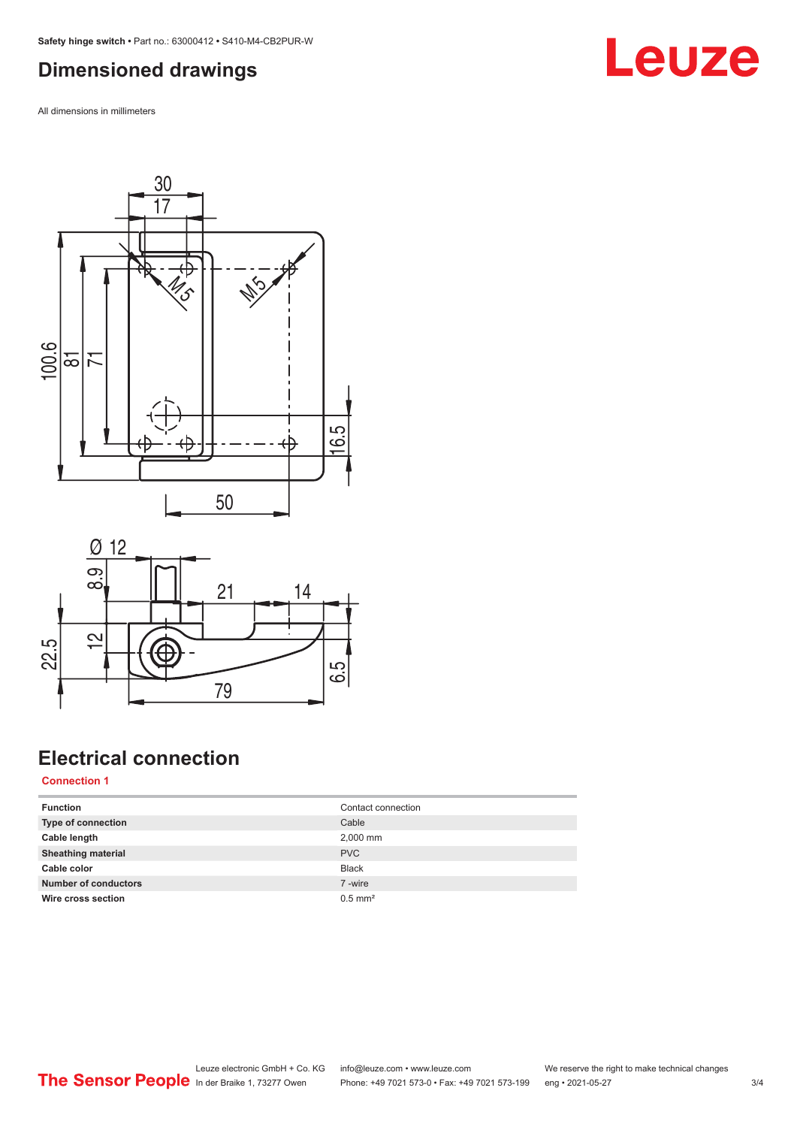#### <span id="page-2-0"></span>**Dimensioned drawings**

All dimensions in millimeters





### **Electrical connection**

**Connection 1**

| <b>Function</b>             | Contact connection    |
|-----------------------------|-----------------------|
| Type of connection          | Cable                 |
| Cable length                | 2,000 mm              |
| <b>Sheathing material</b>   | <b>PVC</b>            |
| Cable color                 | <b>Black</b>          |
| <b>Number of conductors</b> | 7-wire                |
| Wire cross section          | $0.5$ mm <sup>2</sup> |

## **Leuze**